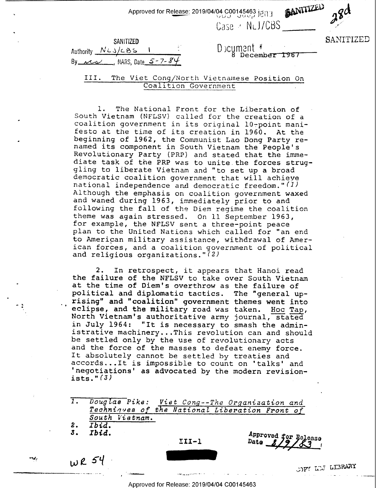| : Approved for Release: 2019/04/04 C00145463 je |  |  |
|-------------------------------------------------|--|--|
|                                                 |  |  |

 $\text{Case} \cdot \text{N-LICBS}$   $\longrightarrow$ BANITIZED

| SANITIZED                                 |  |  |
|-------------------------------------------|--|--|
| Authority NLJ/CBS                         |  |  |
| By $12\sqrt{3}$ , NARS, Date $5 - 7 - 84$ |  |  |

 $\blacksquare$  SANITIZED " Dicumant " 8 December 1967

III. The Viet Cong/North Vietnamese Position On Coalition Government

1. The National Front for the Liberation of South Vietnam (NFLSV) called for the coalition government in its original festo at the time of its creation in beginning of 1962, the Communist Lao named its component in South Vietnam Revolutionary Party (PRP) and stated South Vietnam (NFLSV) called for the creation of a coalition government in its original 10-point manifesto at the time of its creation in 1960. At the Dong Party renamed its component in South Vietnam the People's<br>Revolutionary Party (PRP) and stated that the immediate task of the PRP was to unite the forces strug-<br>gling to liberate Vietnam and "to set up a broad<br>democratic coalition government that will achieve<br>national independence and democratic freedom."(1)<br>Although the emphasi to American military assistance, withdrawal of American forces, and a coalition government of political and religious organizations." $(2)$ 

2. In retrospect, it appears that Hanoi read<br>the failure of the NFLSV to take over South Vietnam<br>at the time of Diem's overthrow as the failure of<br>political and diplomatic tactics. The "general up-<br>rising" and "coalition" rising" and "coalition" government themes went into<br>eclipse, and the military road was taken. Hoc Tap,<br>North Vietnam's authoritative army journal, stated<br>in July 1964: "It is necessary to smash the admin-<br>istrative machine

1. Douglas Pike: Viet Cong--The Organization and<br>Techniques of the National Liberation Front of<br>South Vietnam.<br>2. Ibid.

2. *Ibid.*<br>3. *Ibid.* 3. Ibid. A

¢

 $\overline{\phantom{a}}$ 

4

,. s 4

"'41

\_-...\_...\_..\_

\_l.\_..\_....\_- '..'-\_u.~..\_ .~\_\_\_\_..,-»-»- » - . .. . .

 $\frac{1}{11-1}$  Date  $\frac{8}{9}$   $\frac{8}{3}$ 

 $WR54$ 

ODE LUS LEBRARY نسستان والتاريخ المركزي التي تركي المركزي المركزي المركزي المركزي المركزي المركزي المركزي المركزي المركزي المر<br>المركزي المركزي المركزي المركزي المركزي المركزي المركزي المركزي المركزي المركزي المركزي المركزي المركزي المركز

Approved for Release: 2019/04/04 C00145463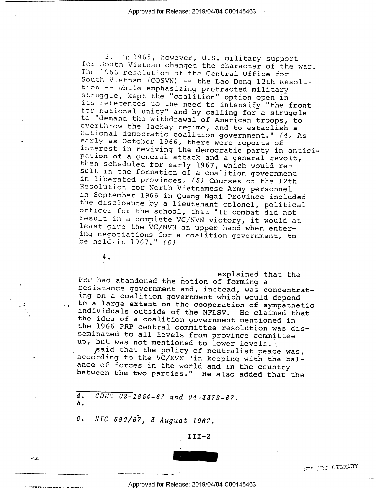national democratic coalition government." (4) As<br>early as October 1966, there were reports of<br>interest in reviving the democratic party in antici-3. In 1965, however, U.S. military support<br>for South Vietnam changed the character of the war.<br>The 1966 resolution of the Central Office for<br>South Vietnam (COSVN) -- the Lao Dong 12th Resolu-<br>tion -- while emphasizing prot pation of a general attack and a general revolt,<br>then scheduled for early 1967, which would re-<br>sult in the formation of a coalition government<br>in liberated provinces. (5) Courses on the 12th<br>Resolution for North Vietnames

4.

n> III II II II I

.0,

explained that the<br>
PRP had abandoned the notion of forming a<br>
resistance government and, instead, was concentrat-<br>
ing on a coalition government which would depend<br>
to a large extent on the cooperation of sympathetic<br>
ind

according to the VC/NVN "in keeping with the bal-<br>ance of forces in the world and in the country<br>between the two parties." He also added that the

4. CDEC 02-1854-67 and 04-3379-67. 5.

6. NIC 680/67, 3 August 1967.

III—2



OFT LDJ LIBRARY

\_, Approved for Release: 2019/04/04 C00145463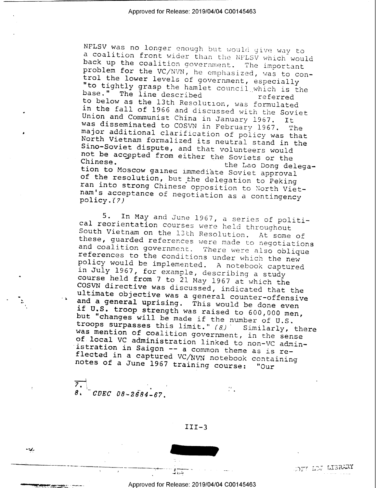NFLSV was no longer enough but would give way to<br>a coalition front wider than the NFLSV which would<br>back up the coalition government. The important<br>problem for the VC/NVN, he emphasized, was to con-<br>trol the lower levels o Union and Communist China in January 1967. It<br>was disseminated to COSVN in February 1967. The<br>major additional clarification of policy was that<br>North Vietnam formalized its neutral stand in the<br>Sino-Soviet dispute, and tha

5. In May and June 1967, a series of politi-<br>cal reorientation courses were held throughout<br>South Vietnam on the 13th Resolution. At some of<br>these, guarded references were made to negotiations<br>and coalition government. The course held from 7 to 21 May 1967 at which the<br>COSVN directive was discussed, indicated that the<br>ultimate objective was a general counter-offensive<br>and a general uprising. This would be done even<br>if U.S. troop strength was was mention of coalition government, in the sense of local VC administration linked to non-VC admin-<br>istration in Saigon -- a common theme as is re-<br>flected in a captured VC/NVN notebook containing<br>notes of a June 1967 training course: "Our

 $^{\prime}$ .  $7.4$  in the contract of  $\sim$   $1.1$  $8.$  CDEC 08-2684-67.

 $\cdot$ 

-

- J.

 $III-3$ 

 $\mathcal{C}$  .



WARELL OF STRAIN

~

Approved for Release: 2019/04/04 C00145463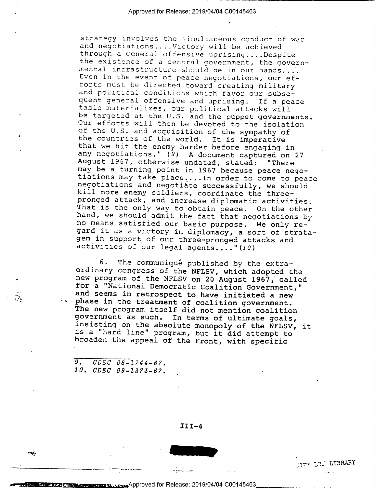strategy involves the simultaneous conduct of war<br>and negotiations...Victory will be achieved<br>through a general offensive uprising...Despite<br>through a general offensive uprising...Despite<br>meant infrastructure should be in

<sup>6</sup>. The communiqué published by the extra-<br>ordinary congress of the NFLSV, which adopted the<br>new program of the NFLSV on 20 August 1967, called<br>for a "National Democratic Coalition Government,"<br>and seems in retrospect to

9. CDEC 08-Z744-67. 10. CDEC 09-Z373-67.

**TR 12.** 

1

O

 $\mathcal{D}_{\mathbf{r}}$ 

 $\overline{1}$  :  $\overline{3}$  :  $\overline{3}$  :  $\overline{3}$  :  $\overline{3}$  :  $\overline{3}$  :  $\overline{3}$  :  $\overline{3}$  :  $\overline{3}$  :  $\overline{3}$  :  $\overline{3}$  :  $\overline{3}$  :  $\overline{3}$  :  $\overline{3}$  :  $\overline{3}$  :  $\overline{3}$  :  $\overline{3}$  :  $\overline{3}$  :  $\overline{3}$  :  $\overline{3}$  :

ريب

 $III-4$ 



Press Approved for Release: 2019/04/04 C00145463

, <sup>|</sup>

 $\mathbb{Z}$ 7' 3'25 LI3R43Y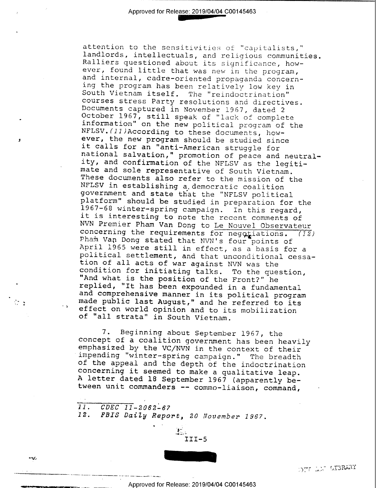attention to the sensitivities of "capitalists,"<br>
landlerds, intellectuals, and religious communities<br>
landlers questioned about its significance, how-<br>
ever, found little that was new in the program,<br>
and internal, cadrenational salvation," promotion of peace and neutral-<br>ity, and confirmation of the NFLSV as the legitilandlords, intellectuals, and religious communities. platform" should be studied in preparation for the<br>1967-68 winter-spring campaign. In this regard, NVN Premier Pham Van Dong to Le Nouvel Observateur<br>concerning the requirements for negotiations. (12<br>Pham Van Dong stated that NVN's four points of<br>April 1965 were still in effect, as a basis for a<br>political settlement, an concerning the requirements for negotiations. (12) April 1965 were still in effect, as a basis for a political settlement, and that unconditional cessacondition for initiating talks. To the question, and compublic last August," and he referred to its effect on world opinion and to its mobilization of "all strata" in South Vietnam.

> 7. Beginning about September 1967, the<br>concept of a coalition government has been heavilenphasized by the VC/NVN in the context of their<br>impending "winter-spring campaign." The breadth<br>of the appeal and the depth of the in concept of a coalition government has been heavily of the appeal and the depth of the indoctrination

11. CDEC 11-2062-67<br>12. FBIS Daily Repo FBIS Daily Report, 20 November 1967.

»\_\_\_.\_\_\_.. \_\_\_.\_\_-\_\_\_.\_\_. \_\_\_\_\_ \_\_\_\_,.,. . ~~\_\_



J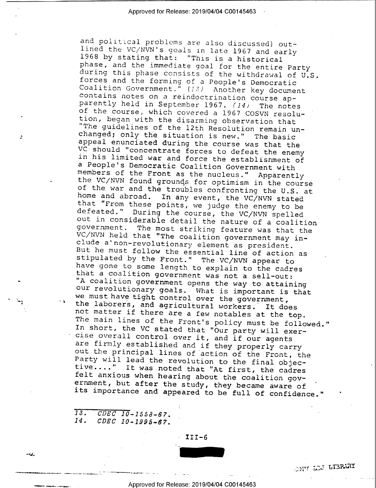and political problems are also discussed) out-<br>and political problems are also discussed) out-<br>ined the VC/NVN's goals in late 1967 and early<br>phase, and the immediate goal for the entire Party<br>during this phase consists o our revolutionary goals. What is important is that<br>we must have tight control over the government,<br>the laborers, and agricultural workers. It does<br>not matter if there are a few notables at the top.<br>The main lines of the Fr cise overall control over it, and if our agents<br>are firmly established and if they properly carry<br>out the principal lines of action of the Front, the<br>Party will lead the revolution to the final objec-<br>tive...." It was note

 $13.$  CDEC 10-1558-67.<br>14. CDEC 10-1995-67.

4

v

hon<sup>4</sup>

-

~14,

' III-6

\_ , \_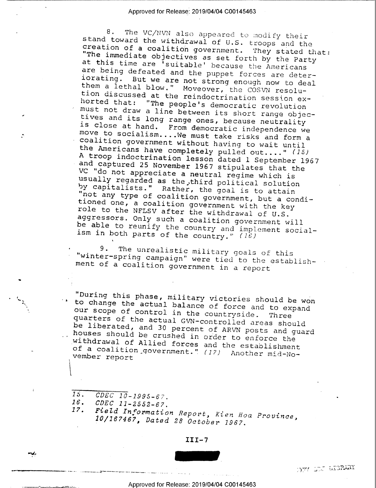8. The VC/NVN also appeared to modify their<br>stand toward the withdrawal of U.S. troops and the<br>creation of a coalition government. They stated that:<br>"The immediate objectives as set forth by the Party<br>at this time are 'sui are being defeated and the puppet forces are deter-<br>iorating. But we are not strong enough now to deal<br>them a lethal blow." Moveover, the COSVN resolu-<br>tion discussed at the reindoctrination session exhorted that: "The people's democratic revolution<br>must not draw a line between its short range objectives and its long range ones, because neutrality<br>is close at hand. From democratic independence we<br>move to socialism....We must take risks and form a coalition government without having to wait until the Americans have completely pulled out...." (15) A troop indoctrination lesson dated 1 September 1967<br>and captured 25 November 1967 stipulates that the VC "do not appreciate a neutral regime which is<br>usually regarded as the third political solution<br>by capitalists." Rather, the goal is to attain<br>"not any type of coalition government, but a condi-<br>tioned one, a coalition go role to the NFLSV after the withdrawal of U.S.<br>aggressors. Only such a coalition government will<br>be able to reunify the country and implement social-<br>ism in both parts of the country." (16)

9. The unrealistic military goals of this<br>"winter-spring campaign" were tied to the establish-<br>ment of a coalition government in a report

 $h_{\lambda}$  to to "During this phase, military victories should be won<br>to change the actual balance of force and to expand Rour the actual balance of force and to expand<br>our scope of control in the countryside. Three<br>quarters of the actual CUN so in the set our scope of control in the countryside. Three<br>quarters of the actual GVN-controlled areas should<br>be liberated, and 30 percent of ARVN posts and guard<br>houses should be crushed in order to enforce the<br>withdrawal of Allied f

 $\bullet$  . In the contract of the contract of the contract of the contract of the contract of the contract of the contract of the contract of the contract of the contract of the contract of the contract of the contract of the

¢

'#"'

-\_..v .\_...\_\_.\_.\_.:|"——~"—~<'~v--~--'~——'—> ---~—-~ - < - - - V <sup>~</sup>»»

15. CDEC 10-1995-67. 16. CDEC 11-2552-67. 17. Field Information Report, Kien Hoa Province, 10/167467, Dated 28 October 1967.

 $III-7$ 



-T77 ;.: r...:s?,m'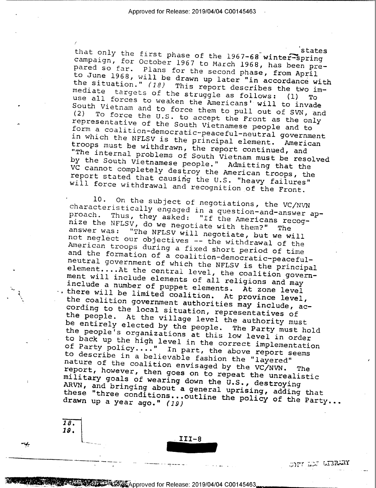that only the first phase of the 1967-68 winter-spring<br>campaign, for October 1967 to the 1968 winter-spring campaign, for October 1967 to March 1968, has been prepared so far. Plans for the second phase, from April<br>to June 1968, will be drawn up later "in accordance" to June 1968, will be drawn up later "in accordance with<br>the situation." (18) This report describes the two in the situation." (18) This report describes the two immediate targets of the struggle as follows: (1) use all forces to weaken the Americans' will to invade South Vietnam and to force them to pull out of SVN, and (2) To force the U.S. to accept the Front as the only representative of the South Vietnamese people and to To force the U.S. to accept the Front as the only form a coalition-democratic-peaceful-neutral government<br>in which the NFLSV is the principal element. American<br>troops must be with y troops must be withdrawn, the report continued, and<br>"The internal problems of South Wistons week', and in which the NFLSV is the principal element. The internal problems of South Vietnam must be resolved<br>by the South Vietnamese people." Admitting that the by the south Vietnamese people." Admitting that the ve cannot completely destroy the American troops, the<br>report stated that causing the U.S. "beaux failures" report stated that causing the U.S. "heavy failures" will force withdrawal and recognition of the Front.

l0. On the subject of negotiations, the VC/NVN characteristically engaged in a question-and-answer approach. Thus, they asked: "If the Americans recog-<br>nize the NFLSV, do we negotiate with them?" The<br>answer was: "The NFLSV will negotiate, but we will nize the NFLSV, do we negotiate with them?" The not neglect our objectives -- the withdrawal of the<br>American troops during a fixed short period of time and the formation of a coalition-democratic-peacefulelement....At the central level, the coalition govern-<br>ment will include elements of all religions and now neutral government of which the NFLSV is the principal ment will include elements of all religions and may include a number of puppet elements. At zone level  $\cdot$  there will be limited coalition. At province level, the coalition government authorities may include, acthe people. At the village level the authority must<br>be entirely elected by the people. The Party must be cording to the local situation, representatives of be entirely elected by the people. The Party must hold<br>the people's organizations at this low level in order the people's organizations at this low level in order<br>to back up the high level in the correct implementation co back up the high level in the correct implementation<br>of Party policy...." In part, the above report cases of Party policy...." In part, the above report seems<br>to describe in a believable fashion the "lawared" to describe in a believable fashion the "layered" nature of the coalition envisaged by the VC/NVN. The report, however, then goes on to repeat the unrealistic military goals of wearing down the U.S., destroying ARVN, and bringing about a general uprising, adding that these "three conditions... outline the policy of the Party drawn up a year ago." (19) these "three conditions...outline the policy of the Party...

.111-s

za. 19'

/

 $\mathbb{C}\mathrm{DFT}$  . For a probl ' ~41-nvi ;— \_\_ —v\_i-\_ -> .- -~.\_\_— ta .\_ ' <sup>L</sup>\  $L$   $\overline{\text{BRANT}}$ 

With Release: 2019/04/04 C00145463

I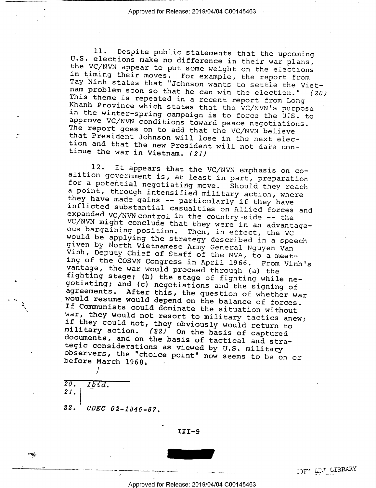11. Despite public statements that the upcoming<br>U.S. elections make no difference in their war plans,<br>the VC/NVW appear to put some weight on the elections<br>in timing their moves. For example, the report from<br>Tay Ninh state

12. It appears that the VC/NVN emphasis on co-<br>altion government is, at least in part, preparation<br>for a potential negotiating move. Should they reach<br>a point, through intensified military action, where<br>they have made gain documents, and on the basis of tactical and stra-<br>tegic considerations as viewed by U.S. military<br>observers, the "choice point" now seems to be on or<br>before March 1968.

 $20.$  Ibid. 21.( 22. CDEC 02-1846-67.

/

-.1, <sup>w</sup>

>gy . 5

~

III-9